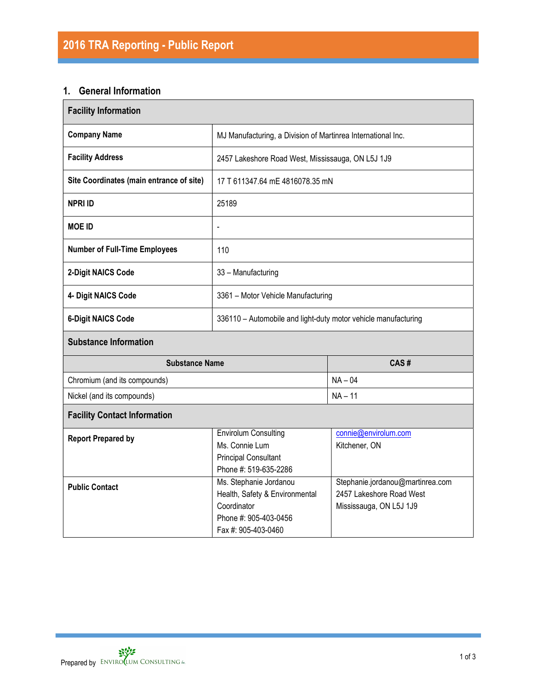## 1. General Information

| <b>Facility Information</b>              |                                                                                                                         |                                                                                         |  |  |  |  |
|------------------------------------------|-------------------------------------------------------------------------------------------------------------------------|-----------------------------------------------------------------------------------------|--|--|--|--|
| <b>Company Name</b>                      | MJ Manufacturing, a Division of Martinrea International Inc.                                                            |                                                                                         |  |  |  |  |
| <b>Facility Address</b>                  | 2457 Lakeshore Road West, Mississauga, ON L5J 1J9                                                                       |                                                                                         |  |  |  |  |
| Site Coordinates (main entrance of site) | 17 T 611347.64 mE 4816078.35 mN                                                                                         |                                                                                         |  |  |  |  |
| <b>NPRI ID</b>                           | 25189                                                                                                                   |                                                                                         |  |  |  |  |
| <b>MOE ID</b>                            | $\overline{a}$                                                                                                          |                                                                                         |  |  |  |  |
| <b>Number of Full-Time Employees</b>     | 110                                                                                                                     |                                                                                         |  |  |  |  |
| 2-Digit NAICS Code                       | 33 - Manufacturing                                                                                                      |                                                                                         |  |  |  |  |
| 4- Digit NAICS Code                      | 3361 - Motor Vehicle Manufacturing                                                                                      |                                                                                         |  |  |  |  |
| <b>6-Digit NAICS Code</b>                | 336110 - Automobile and light-duty motor vehicle manufacturing                                                          |                                                                                         |  |  |  |  |
| <b>Substance Information</b>             |                                                                                                                         |                                                                                         |  |  |  |  |
| <b>Substance Name</b>                    |                                                                                                                         | CAS#                                                                                    |  |  |  |  |
| Chromium (and its compounds)             |                                                                                                                         | $NA - 04$                                                                               |  |  |  |  |
| Nickel (and its compounds)               |                                                                                                                         | $NA - 11$                                                                               |  |  |  |  |
| <b>Facility Contact Information</b>      |                                                                                                                         |                                                                                         |  |  |  |  |
| <b>Report Prepared by</b>                | <b>Envirolum Consulting</b><br>Ms. Connie Lum<br><b>Principal Consultant</b><br>Phone #: 519-635-2286                   | connie@envirolum.com<br>Kitchener, ON                                                   |  |  |  |  |
| <b>Public Contact</b>                    | Ms. Stephanie Jordanou<br>Health, Safety & Environmental<br>Coordinator<br>Phone #: 905-403-0456<br>Fax #: 905-403-0460 | Stephanie.jordanou@martinrea.com<br>2457 Lakeshore Road West<br>Mississauga, ON L5J 1J9 |  |  |  |  |

h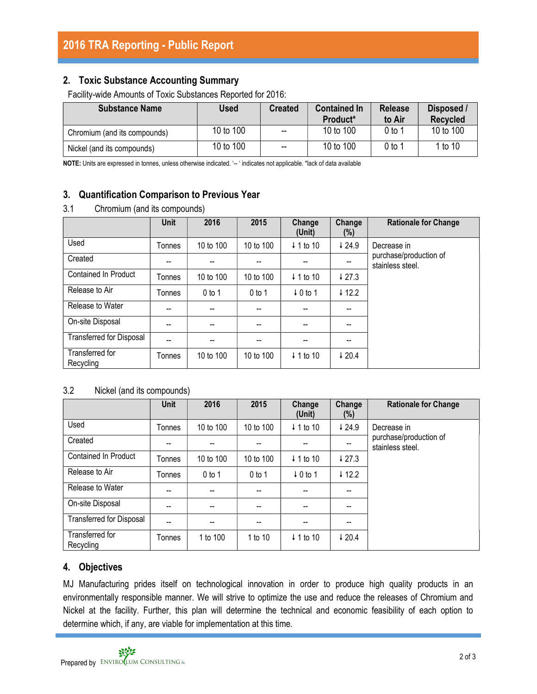## 2. Toxic Substance Accounting Summary

Facility-wide Amounts of Toxic Substances Reported for 2016:

| <b>Substance Name</b>        | Used      | <b>Created</b>           | <b>Contained In</b><br>Product* | <b>Release</b><br>to Air | Disposed /<br><b>Recycled</b> |
|------------------------------|-----------|--------------------------|---------------------------------|--------------------------|-------------------------------|
| Chromium (and its compounds) | 10 to 100 | $\overline{\phantom{a}}$ | 10 to 100                       | $0$ to 1                 | 10 to 100                     |
| Nickel (and its compounds)   | 10 to 100 | $\overline{\phantom{a}}$ | 10 to 100                       | $0$ to 1                 | 1 to 10                       |

NOTE: Units are expressed in tonnes, unless otherwise indicated. '-- ' indicates not applicable. \*lack of data available

## 3. Quantification Comparison to Previous Year

#### 3.1 Chromium (and its compounds)

|                                 | <b>Unit</b> | 2016                     | 2015      | Change<br>(Unit)     | Change<br>(%)     | <b>Rationale for Change</b>                |
|---------------------------------|-------------|--------------------------|-----------|----------------------|-------------------|--------------------------------------------|
| Used                            | Tonnes      | 10 to 100                | 10 to 100 | $\downarrow$ 1 to 10 | 424.9             | Decrease in                                |
| Created                         | --          |                          | --        |                      | --                | purchase/production of<br>stainless steel. |
| <b>Contained In Product</b>     | Tonnes      | 10 to 100                | 10 to 100 | $\downarrow$ 1 to 10 | 427.3             |                                            |
| Release to Air                  | Tonnes      | $0$ to 1                 | $0$ to 1  | $\downarrow$ 0 to 1  | $\downarrow$ 12.2 |                                            |
| Release to Water                | --          | $\overline{\phantom{a}}$ | --        |                      | --                |                                            |
| On-site Disposal                | --          |                          | --        |                      | $-$               |                                            |
| <b>Transferred for Disposal</b> | --          |                          |           |                      |                   |                                            |
| Transferred for<br>Recycling    | Tonnes      | 10 to 100                | 10 to 100 | $\downarrow$ 1 to 10 | $\sqrt{20.4}$     |                                            |

### 3.2 Nickel (and its compounds)

|                                 | <b>Unit</b> | 2016      | 2015      | Change<br>(Unit)     | Change<br>(%)            | <b>Rationale for Change</b>                |
|---------------------------------|-------------|-----------|-----------|----------------------|--------------------------|--------------------------------------------|
| Used                            | Tonnes      | 10 to 100 | 10 to 100 | $\downarrow$ 1 to 10 | 424.9                    | Decrease in                                |
| Created                         | --          |           | --        |                      | $\overline{\phantom{a}}$ | purchase/production of<br>stainless steel. |
| Contained In Product            | Tonnes      | 10 to 100 | 10 to 100 | $\downarrow$ 1 to 10 | 427.3                    |                                            |
| Release to Air                  | Tonnes      | $0$ to 1  | $0$ to 1  | $\downarrow$ 0 to 1  | $\downarrow$ 12.2        |                                            |
| Release to Water                | --          | $-$       | --        |                      | $\overline{\phantom{a}}$ |                                            |
| On-site Disposal                | --          |           |           |                      | --                       |                                            |
| <b>Transferred for Disposal</b> | --          |           |           |                      | --                       |                                            |
| Transferred for<br>Recycling    | Tonnes      | 1 to 100  | 1 to 10   | $\downarrow$ 1 to 10 | 420.4                    |                                            |

## 4. Objectives

MJ Manufacturing prides itself on technological innovation in order to produce high quality products in an environmentally responsible manner. We will strive to optimize the use and reduce the releases of Chromium and Nickel at the facility. Further, this plan will determine the technical and economic feasibility of each option to determine which, if any, are viable for implementation at this time.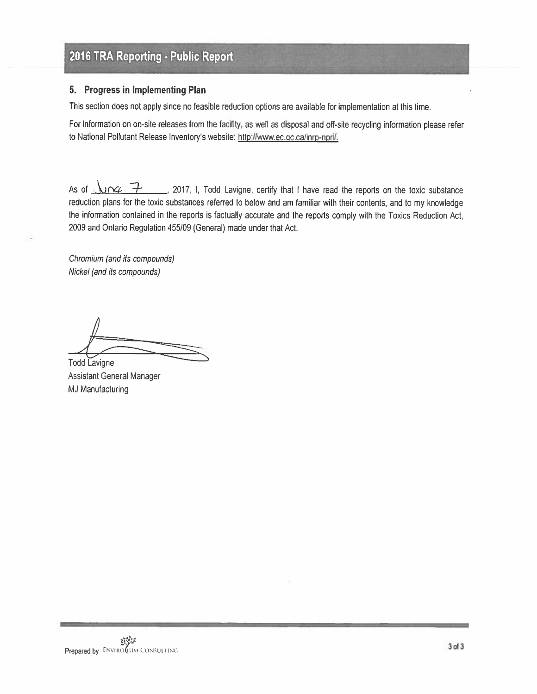# 2016 TRA Reporting - Public Report

#### 5. Progress in Implementing Plan

This section does not apply since no feasible reduction options are available for implementation at this time.

For information on on-site releases from the facility, as well as disposal and off-site recycling information please refer to National Pollutant Release Inventory's website: http://www.ec.gc.ca/inrp-npri/.

As of  $\ln \alpha$  7 2017, I, Todd Lavigne, certify that I have read the reports on the toxic substance reduction plans for the toxic substances referred to below and am familiar with their contents, and to my knowledge the information contained in the reports is factually accurate and the reports comply with the Toxics Reduction Act, 2009 and Ontario Regulation 455/09 (General) made under that Act.

Chromium (and its compounds) Nickel (and its compounds)

**Todd Lavigne** 

**Assistant General Manager MJ Manufacturing**